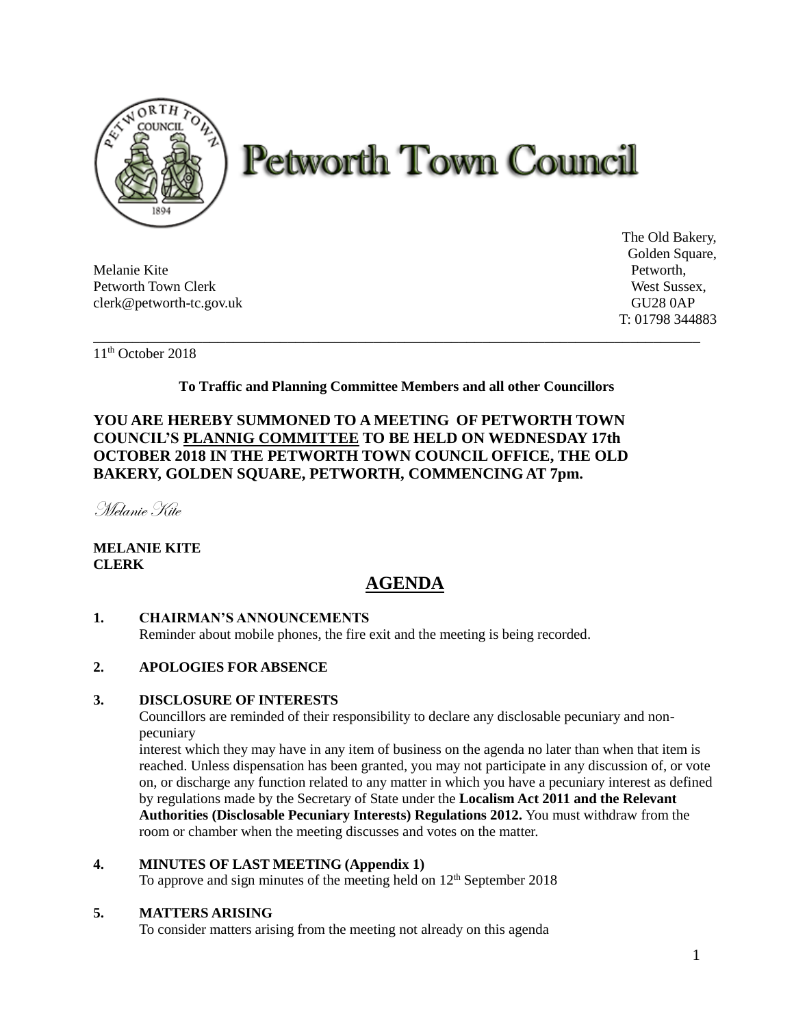

# **Petworth Town Council**

Melanie Kite Petworth, Petworth Town Clerk West Sussex, clerk@petworth-tc.gov.uk GU28 0AP

The Old Bakery, Golden Square, T: 01798 344883

11th October 2018

**To Traffic and Planning Committee Members and all other Councillors**

\_\_\_\_\_\_\_\_\_\_\_\_\_\_\_\_\_\_\_\_\_\_\_\_\_\_\_\_\_\_\_\_\_\_\_\_\_\_\_\_\_\_\_\_\_\_\_\_\_\_\_\_\_\_\_\_\_\_\_\_\_\_\_\_\_\_\_\_\_\_\_\_\_\_\_\_\_\_

## **YOU ARE HEREBY SUMMONED TO A MEETING OF PETWORTH TOWN COUNCIL'S PLANNIG COMMITTEE TO BE HELD ON WEDNESDAY 17th OCTOBER 2018 IN THE PETWORTH TOWN COUNCIL OFFICE, THE OLD BAKERY, GOLDEN SQUARE, PETWORTH, COMMENCING AT 7pm.**

Melanie Kite

## **MELANIE KITE CLERK**

# **AGENDA**

## **1. CHAIRMAN'S ANNOUNCEMENTS**

Reminder about mobile phones, the fire exit and the meeting is being recorded.

## **2. APOLOGIES FOR ABSENCE**

#### **3. DISCLOSURE OF INTERESTS**

Councillors are reminded of their responsibility to declare any disclosable pecuniary and nonpecuniary

interest which they may have in any item of business on the agenda no later than when that item is reached. Unless dispensation has been granted, you may not participate in any discussion of, or vote on, or discharge any function related to any matter in which you have a pecuniary interest as defined by regulations made by the Secretary of State under the **Localism Act 2011 and the Relevant Authorities (Disclosable Pecuniary Interests) Regulations 2012.** You must withdraw from the room or chamber when the meeting discusses and votes on the matter.

#### **4. MINUTES OF LAST MEETING (Appendix 1)**

To approve and sign minutes of the meeting held on  $12<sup>th</sup>$  September 2018

### **5. MATTERS ARISING**

To consider matters arising from the meeting not already on this agenda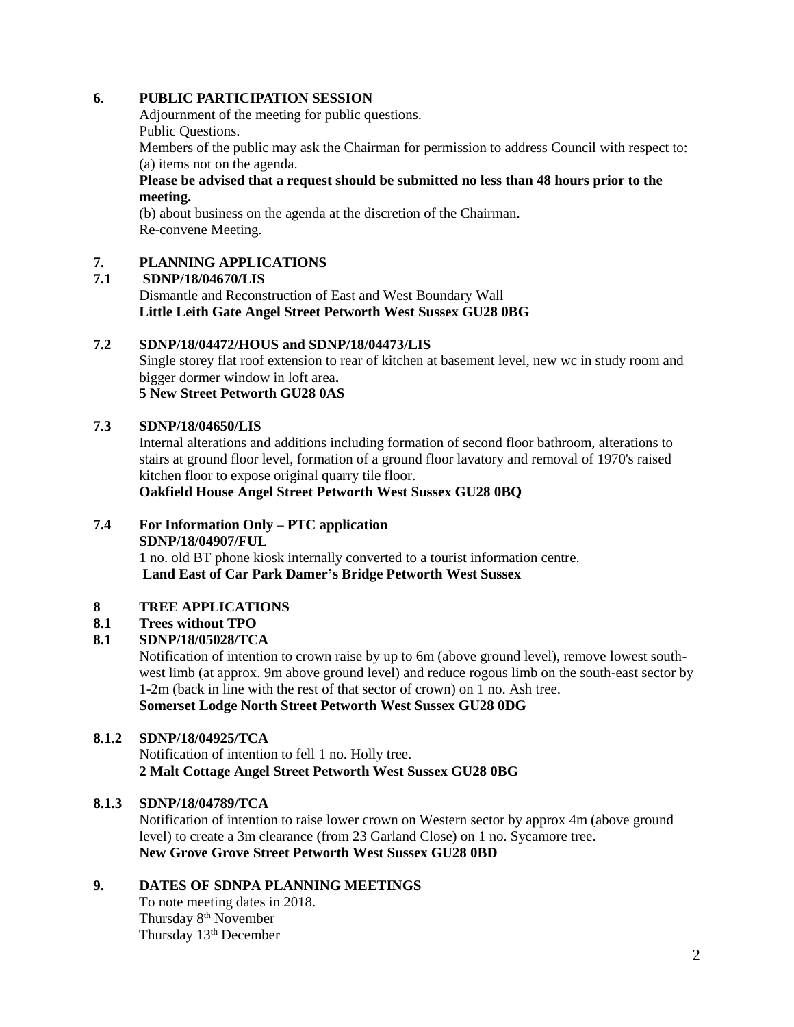#### **6. PUBLIC PARTICIPATION SESSION**

Adjournment of the meeting for public questions. Public Questions.

Members of the public may ask the Chairman for permission to address Council with respect to: (a) items not on the agenda.

#### **Please be advised that a request should be submitted no less than 48 hours prior to the meeting.**

(b) about business on the agenda at the discretion of the Chairman. Re-convene Meeting.

#### **7. PLANNING APPLICATIONS**

## **7.1 SDNP/18/04670/LIS**

Dismantle and Reconstruction of East and West Boundary Wall **Little Leith Gate Angel Street Petworth West Sussex GU28 0BG**

#### **7.2 SDNP/18/04472/HOUS and SDNP/18/04473/LIS**

Single storey flat roof extension to rear of kitchen at basement level, new wc in study room and bigger dormer window in loft area**. 5 New Street Petworth GU28 0AS**

#### **7.3 SDNP/18/04650/LIS**

Internal alterations and additions including formation of second floor bathroom, alterations to stairs at ground floor level, formation of a ground floor lavatory and removal of 1970's raised kitchen floor to expose original quarry tile floor.

**Oakfield House Angel Street Petworth West Sussex GU28 0BQ**

#### **7.4 For Information Only – PTC application**

#### **SDNP/18/04907/FUL**

1 no. old BT phone kiosk internally converted to a tourist information centre. **Land East of Car Park Damer's Bridge Petworth West Sussex**

#### **8 TREE APPLICATIONS**

#### **8.1 Trees without TPO**

#### **8.1 SDNP/18/05028/TCA**

Notification of intention to crown raise by up to 6m (above ground level), remove lowest southwest limb (at approx. 9m above ground level) and reduce rogous limb on the south-east sector by 1-2m (back in line with the rest of that sector of crown) on 1 no. Ash tree. **Somerset Lodge North Street Petworth West Sussex GU28 0DG**

#### **8.1.2 SDNP/18/04925/TCA**

Notification of intention to fell 1 no. Holly tree. **2 Malt Cottage Angel Street Petworth West Sussex GU28 0BG**

#### **8.1.3 SDNP/18/04789/TCA**

Notification of intention to raise lower crown on Western sector by approx 4m (above ground level) to create a 3m clearance (from 23 Garland Close) on 1 no. Sycamore tree. **New Grove Grove Street Petworth West Sussex GU28 0BD**

#### **9. DATES OF SDNPA PLANNING MEETINGS**

To note meeting dates in 2018. Thursday 8<sup>th</sup> November Thursday 13<sup>th</sup> December